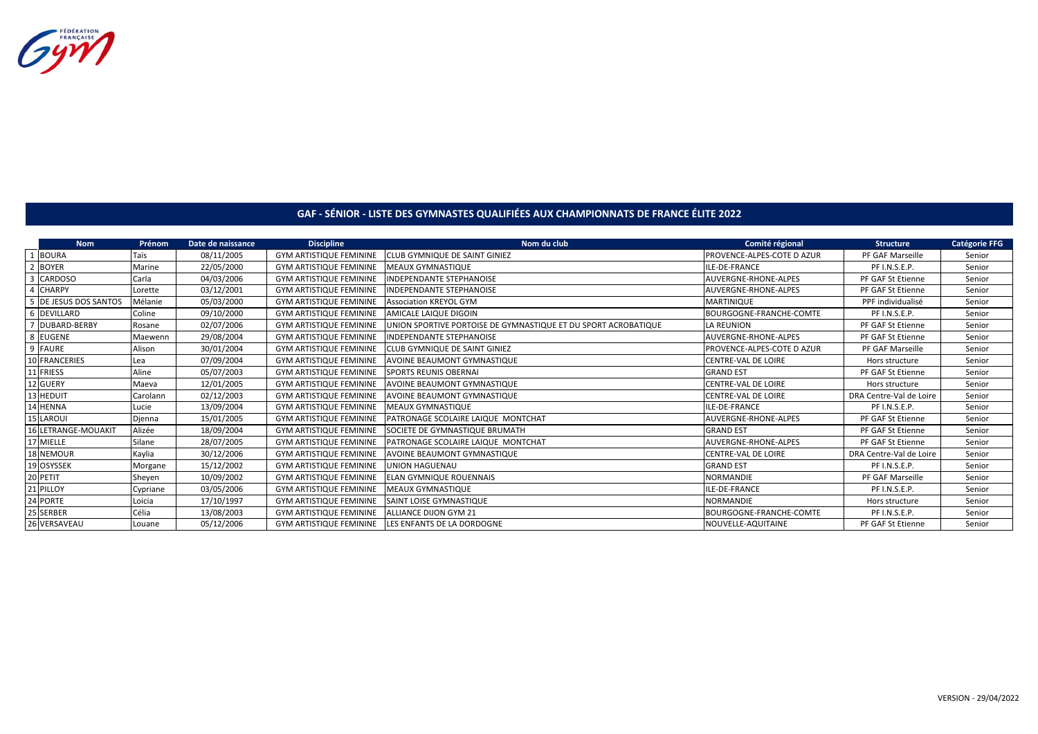

## **GAF - SÉNIOR - LISTE DES GYMNASTES QUALIFIÉES AUX CHAMPIONNATS DE FRANCE ÉLITE 2022**

| <b>Nom</b>            | Prénom   | Date de naissance | <b>Discipline</b>              | Nom du club                                                    | Comité régional            | <b>Structure</b>        | <b>Catégorie FFG</b> |
|-----------------------|----------|-------------------|--------------------------------|----------------------------------------------------------------|----------------------------|-------------------------|----------------------|
| 1 BOURA               | Taïs     | 08/11/2005        | <b>GYM ARTISTIQUE FEMININE</b> | <b>ICLUB GYMNIQUE DE SAINT GINIEZ</b>                          | PROVENCE-ALPES-COTE D AZUR | PF GAF Marseille        | Senior               |
| 2 BOYER               | Marine   | 22/05/2000        | <b>GYM ARTISTIQUE FEMININE</b> | MEAUX GYMNASTIQUE                                              | ILE-DE-FRANCE              | PF I.N.S.E.P.           | Senior               |
| 3 CARDOSO             | Carla    | 04/03/2006        | <b>GYM ARTISTIQUE FEMININE</b> | <b>INDEPENDANTE STEPHANOISE</b>                                | AUVERGNE-RHONE-ALPES       | PF GAF St Etienne       | Senior               |
| 4 CHARPY              | Lorette  | 03/12/2001        | <b>GYM ARTISTIQUE FEMININE</b> | <b>INDEPENDANTE STEPHANOISE</b>                                | AUVERGNE-RHONE-ALPES       | PF GAF St Etienne       | Senior               |
| 5 DE JESUS DOS SANTOS | Mélanie  | 05/03/2000        | <b>GYM ARTISTIQUE FEMININE</b> | <b>Association KREYOL GYM</b>                                  | MARTINIQUE                 | PPF individualisé       | Senior               |
| 6 DEVILLARD           | Coline   | 09/10/2000        | <b>GYM ARTISTIQUE FEMININE</b> | AMICALE LAIQUE DIGOIN                                          | BOURGOGNE-FRANCHE-COMTE    | PF I.N.S.E.P.           | Senior               |
| 7 DUBARD-BERBY        | Rosane   | 02/07/2006        | <b>GYM ARTISTIQUE FEMININE</b> | UNION SPORTIVE PORTOISE DE GYMNASTIQUE ET DU SPORT ACROBATIQUE | LA REUNION                 | PF GAF St Etienne       | Senior               |
| 8 EUGENE              | Maewenn  | 29/08/2004        | <b>GYM ARTISTIQUE FEMININE</b> | INDEPENDANTE STEPHANOISE                                       | AUVERGNE-RHONE-ALPES       | PF GAF St Etienne       | Senior               |
| 9 FAURE               | Alison   | 30/01/2004        | <b>GYM ARTISTIQUE FEMININE</b> | CLUB GYMNIQUE DE SAINT GINIEZ                                  | PROVENCE-ALPES-COTE D AZUR | PF GAF Marseille        | Senior               |
| 10 FRANCERIES         | Lea      | 07/09/2004        | <b>GYM ARTISTIQUE FEMININE</b> | AVOINE BEAUMONT GYMNASTIQUE                                    | CENTRE-VAL DE LOIRE        | Hors structure          | Senior               |
| 11 FRIESS             | Aline    | 05/07/2003        | <b>GYM ARTISTIQUE FEMININE</b> | <b>SPORTS REUNIS OBERNAL</b>                                   | <b>GRAND EST</b>           | PF GAF St Etienne       | Senior               |
| 12 GUERY              | Maeva    | 12/01/2005        | <b>GYM ARTISTIQUE FEMININE</b> | AVOINE BEAUMONT GYMNASTIQUE                                    | CENTRE-VAL DE LOIRE        | Hors structure          | Senior               |
| 13 HEDUIT             | Carolann | 02/12/2003        | <b>GYM ARTISTIQUE FEMININE</b> | AVOINE BEAUMONT GYMNASTIQUE                                    | CENTRE-VAL DE LOIRE        | DRA Centre-Val de Loire | Senior               |
| 14 HENNA              | Lucie    | 13/09/2004        | <b>GYM ARTISTIQUE FEMININE</b> | <b>MEAUX GYMNASTIQUE</b>                                       | ILE-DE-FRANCE              | PF I.N.S.E.P.           | Senior               |
| 15 LAROUI             | Djenna   | 15/01/2005        | <b>GYM ARTISTIQUE FEMININE</b> | PATRONAGE SCOLAIRE LAIQUE MONTCHAT                             | AUVERGNE-RHONE-ALPES       | PF GAF St Etienne       | Senior               |
| 16 LETRANGE-MOUAKIT   | Alizée   | 18/09/2004        | <b>GYM ARTISTIQUE FEMININE</b> | SOCIETE DE GYMNASTIQUE BRUMATH                                 | <b>GRAND EST</b>           | PF GAF St Etienne       | Senior               |
| 17 MIELLE             | Silane   | 28/07/2005        | <b>GYM ARTISTIQUE FEMININE</b> | PATRONAGE SCOLAIRE LAIQUE MONTCHAT                             | AUVERGNE-RHONE-ALPES       | PF GAF St Etienne       | Senior               |
| 18 NEMOUR             | Kaylia   | 30/12/2006        | <b>GYM ARTISTIQUE FEMININE</b> | AVOINE BEAUMONT GYMNASTIQUE                                    | CENTRE-VAL DE LOIRE        | DRA Centre-Val de Loire | Senior               |
| 19 OSYSSEK            | Morgane  | 15/12/2002        | <b>GYM ARTISTIQUE FEMININE</b> | <b>UNION HAGUENAU</b>                                          | <b>GRAND EST</b>           | PF I.N.S.E.P.           | Senior               |
| 20 PETIT              | Sheyen   | 10/09/2002        | <b>GYM ARTISTIQUE FEMININE</b> | <b>ELAN GYMNIQUE ROUENNAIS</b>                                 | <b>NORMANDIE</b>           | PF GAF Marseille        | Senior               |
| 21 PILLOY             | Cypriane | 03/05/2006        | <b>GYM ARTISTIQUE FEMININE</b> | MEAUX GYMNASTIQUE                                              | ILE-DE-FRANCE              | PF I.N.S.E.P.           | Senior               |
| 24 PORTE              | Loicia   | 17/10/1997        | <b>GYM ARTISTIQUE FEMININE</b> | SAINT LOISE GYMNASTIQUE                                        | <b>NORMANDIE</b>           | Hors structure          | Senior               |
| 25 SERBER             | Célia    | 13/08/2003        | <b>GYM ARTISTIQUE FEMININE</b> | <b>ALLIANCE DIJON GYM 21</b>                                   | BOURGOGNE-FRANCHE-COMTE    | PF I.N.S.E.P.           | Senior               |
| 26 VERSAVEAU          | Louane   | 05/12/2006        | <b>GYM ARTISTIQUE FEMININE</b> | LES ENFANTS DE LA DORDOGNE                                     | NOUVELLE-AQUITAINE         | PF GAF St Etienne       | Senior               |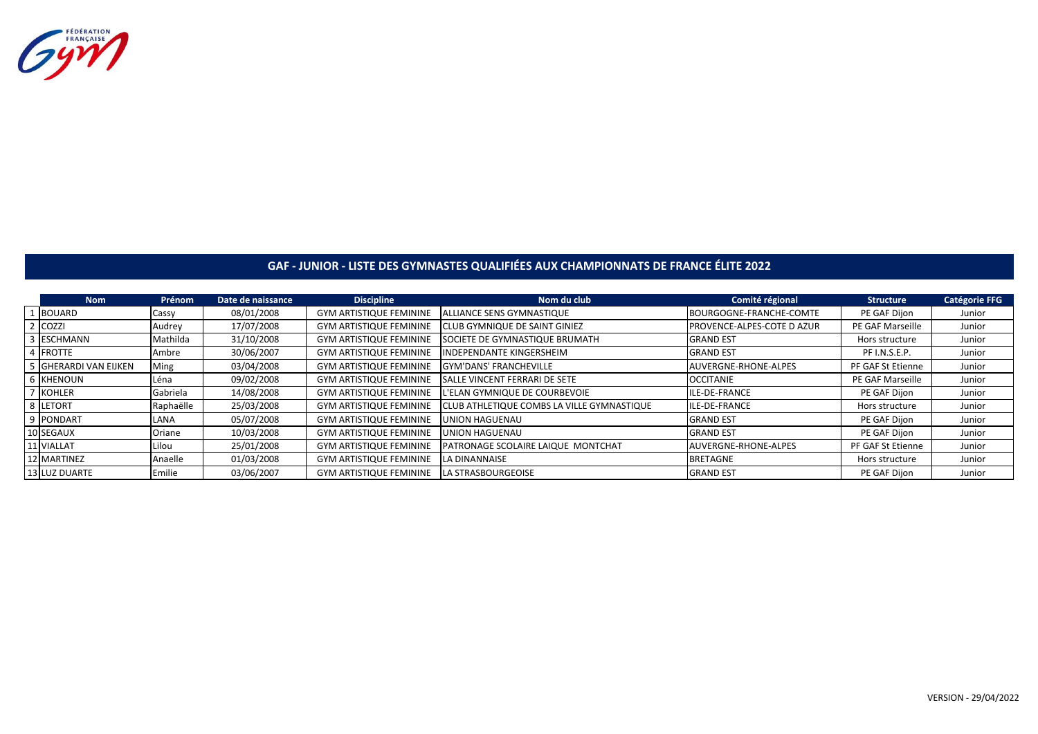

## **GAF - JUNIOR - LISTE DES GYMNASTES QUALIFIÉES AUX CHAMPIONNATS DE FRANCE ÉLITE 2022**

| <b>Nom</b>            | Prénom    | Date de naissance | <b>Discipline</b>              | Nom du club                                | Comité régional            | <b>Structure</b>  | <b>Catégorie FFG</b> |
|-----------------------|-----------|-------------------|--------------------------------|--------------------------------------------|----------------------------|-------------------|----------------------|
| BOUARD                | Cassy     | 08/01/2008        | <b>GYM ARTISTIQUE FEMININE</b> | <b>ALLIANCE SENS GYMNASTIQUE</b>           | BOURGOGNE-FRANCHE-COMTE    | PE GAF Dijon      | Junior               |
| 2 COZZI               | Audrey    | 17/07/2008        | <b>GYM ARTISTIQUE FEMININE</b> | <b>CLUB GYMNIQUE DE SAINT GINIEZ</b>       | PROVENCE-ALPES-COTE D AZUR | PE GAF Marseille  | Junior               |
| 3 ESCHMANN            | Mathilda  | 31/10/2008        | <b>GYM ARTISTIQUE FEMININE</b> | <b>SOCIETE DE GYMNASTIQUE BRUMATH</b>      | <b>GRAND EST</b>           | Hors structure    | Junior               |
| 4 FROTTE              | Ambre     | 30/06/2007        | <b>GYM ARTISTIQUE FEMININE</b> | <b>INDEPENDANTE KINGERSHEIM</b>            | <b>GRAND EST</b>           | PF I.N.S.E.P.     | Junior               |
| 5 GHERARDI VAN EIJKEN | Ming      | 03/04/2008        | <b>GYM ARTISTIQUE FEMININE</b> | <b>GYM'DANS' FRANCHEVILLE</b>              | AUVERGNE-RHONE-ALPES       | PF GAF St Etienne | Junior               |
| <b>6 KHENOUN</b>      | Léna      | 09/02/2008        | <b>GYM ARTISTIQUE FEMININE</b> | <b>SALLE VINCENT FERRARI DE SETE</b>       | <b>OCCITANIE</b>           | PE GAF Marseille  | Junior               |
| KOHLER                | Gabriela  | 14/08/2008        | <b>GYM ARTISTIQUE FEMININE</b> | L'ELAN GYMNIQUE DE COURBEVOIE              | ILE-DE-FRANCE              | PE GAF Dijon      | Junior               |
| 8 LETORT              | Raphaëlle | 25/03/2008        | <b>GYM ARTISTIQUE FEMININE</b> | CLUB ATHLETIQUE COMBS LA VILLE GYMNASTIQUE | ILE-DE-FRANCE              | Hors structure    | Junior               |
| 9 PONDART             | LANA      | 05/07/2008        | <b>GYM ARTISTIQUE FEMININE</b> | UNION HAGUENAU                             | <b>GRAND EST</b>           | PE GAF Dijon      | Junior               |
| 10 SEGAUX             | Oriane    | 10/03/2008        | <b>GYM ARTISTIQUE FEMININE</b> | UNION HAGUENAU                             | <b>GRAND EST</b>           | PE GAF Dijon      | Junior               |
| 11 VIALLAT            | Lilou     | 25/01/2008        | <b>GYM ARTISTIQUE FEMININE</b> | <b>IPATRONAGE SCOLAIRE LAIQUE MONTCHAT</b> | AUVERGNE-RHONE-ALPES       | PF GAF St Etienne | Junior               |
| 12 MARTINEZ           | Anaelle   | 01/03/2008        | <b>GYM ARTISTIQUE FEMININE</b> | <b>LA DINANNAISE</b>                       | <b>BRETAGNE</b>            | Hors structure    | Junior               |
| 13 LUZ DUARTE         | Emilie    | 03/06/2007        | <b>GYM ARTISTIQUE FEMININE</b> | LA STRASBOURGEOISE                         | <b>GRAND EST</b>           | PE GAF Dijon      | Junior               |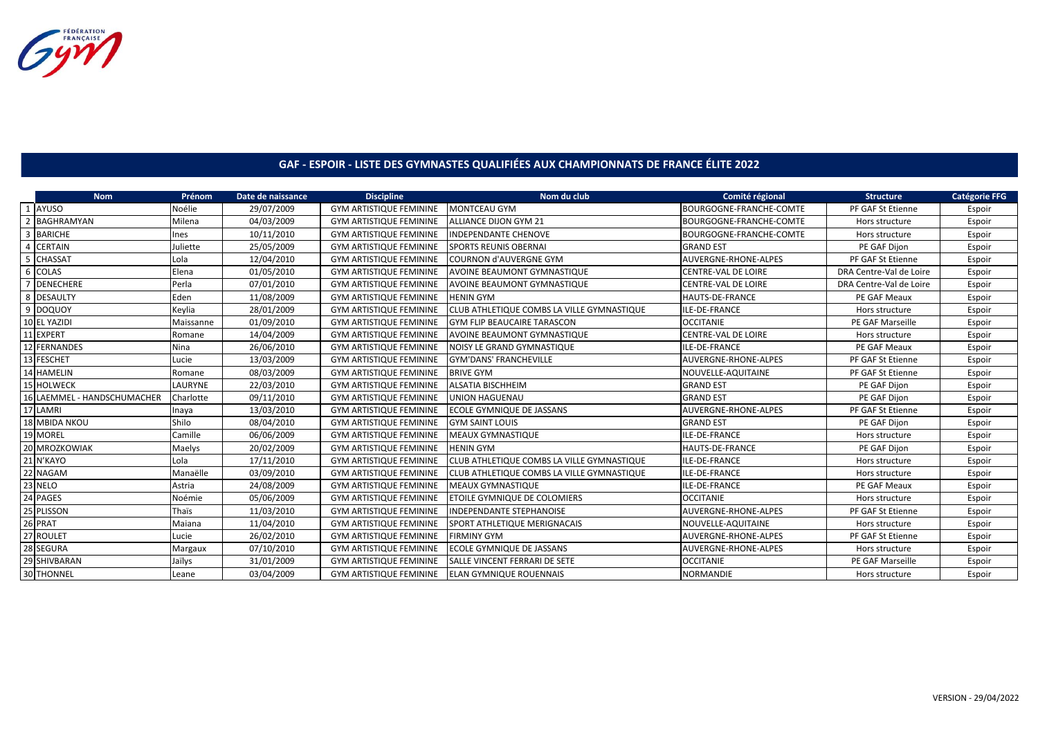Gym

## **GAF - ESPOIR - LISTE DES GYMNASTES QUALIFIÉES AUX CHAMPIONNATS DE FRANCE ÉLITE 2022**

| <b>Nom</b>                  | Prénom    | Date de naissance | <b>Discipline</b>              | Nom du club                                | Comité régional             | <b>Structure</b>        | <b>Catégorie FFG</b> |
|-----------------------------|-----------|-------------------|--------------------------------|--------------------------------------------|-----------------------------|-------------------------|----------------------|
| 1 AYUSO                     | Noélie    | 29/07/2009        | <b>GYM ARTISTIQUE FEMININE</b> | <b>MONTCEAU GYM</b>                        | BOURGOGNE-FRANCHE-COMTE     | PF GAF St Etienne       | Espoir               |
| <b>BAGHRAMYAN</b>           | Milena    | 04/03/2009        | <b>GYM ARTISTIQUE FEMININE</b> | <b>ALLIANCE DIJON GYM 21</b>               | BOURGOGNE-FRANCHE-COMTE     | Hors structure          | Espoir               |
| <b>BARICHE</b>              | Ines      | 10/11/2010        | <b>GYM ARTISTIQUE FEMININE</b> | <b>INDEPENDANTE CHENOVE</b>                | BOURGOGNE-FRANCHE-COMTE     | Hors structure          | Espoir               |
| <b>CERTAIN</b>              | Juliette  | 25/05/2009        | <b>GYM ARTISTIQUE FEMININE</b> | <b>SPORTS REUNIS OBERNAI</b>               | <b>GRAND EST</b>            | PE GAF Dijon            | Espoir               |
| CHASSAT                     | Lola      | 12/04/2010        | <b>GYM ARTISTIQUE FEMININE</b> | <b>COURNON d'AUVERGNE GYM</b>              | <b>AUVERGNE-RHONE-ALPES</b> | PF GAF St Etienne       | Espoir               |
| 6 COLAS                     | Elena     | 01/05/2010        | <b>GYM ARTISTIQUE FEMININE</b> | <b>AVOINE BEAUMONT GYMNASTIQUE</b>         | <b>CENTRE-VAL DE LOIRE</b>  | DRA Centre-Val de Loire | Espoir               |
| <b>DENECHERE</b>            | Perla     | 07/01/2010        | <b>GYM ARTISTIQUE FEMININE</b> | <b>AVOINE BEAUMONT GYMNASTIQUE</b>         | <b>CENTRE-VAL DE LOIRE</b>  | DRA Centre-Val de Loire | Espoir               |
| 8 DESAULTY                  | Eden      | 11/08/2009        | <b>GYM ARTISTIQUE FEMININE</b> | <b>HENIN GYM</b>                           | <b>HAUTS-DE-FRANCE</b>      | PE GAF Meaux            | Espoir               |
| 9 DOQUOY                    | Keylia    | 28/01/2009        | <b>GYM ARTISTIQUE FEMININE</b> | CLUB ATHLETIQUE COMBS LA VILLE GYMNASTIQUE | ILE-DE-FRANCE               | Hors structure          | Espoir               |
| 10 EL YAZIDI                | Maissanne | 01/09/2010        | <b>GYM ARTISTIQUE FEMININE</b> | <b>GYM FLIP BEAUCAIRE TARASCON</b>         | <b>OCCITANIE</b>            | PE GAF Marseille        | Espoir               |
| 11 EXPERT                   | Romane    | 14/04/2009        | <b>GYM ARTISTIQUE FEMININE</b> | <b>AVOINE BEAUMONT GYMNASTIQUE</b>         | <b>CENTRE-VAL DE LOIRE</b>  | Hors structure          | Espoir               |
| 12 FERNANDES                | Nina      | 26/06/2010        | <b>GYM ARTISTIQUE FEMININE</b> | <b>NOISY LE GRAND GYMNASTIQUE</b>          | ILE-DE-FRANCE               | PE GAF Meaux            | Espoir               |
| 13 FESCHET                  | Lucie     | 13/03/2009        | <b>GYM ARTISTIQUE FEMININE</b> | <b>GYM'DANS' FRANCHEVILLE</b>              | <b>AUVERGNE-RHONE-ALPES</b> | PF GAF St Etienne       | Espoir               |
| 14 HAMELIN                  | Romane    | 08/03/2009        | <b>GYM ARTISTIQUE FEMININE</b> | <b>BRIVE GYM</b>                           | NOUVELLE-AQUITAINE          | PF GAF St Etienne       | Espoir               |
| <b>HOLWECK</b>              | LAURYNE   | 22/03/2010        | <b>GYM ARTISTIQUE FEMININE</b> | <b>ALSATIA BISCHHEIM</b>                   | <b>GRAND EST</b>            | PE GAF Dijon            | Espoir               |
| 16 LAEMMEL - HANDSCHUMACHER | Charlotte | 09/11/2010        | <b>GYM ARTISTIQUE FEMININE</b> | <b>UNION HAGUENAU</b>                      | <b>GRAND EST</b>            | PE GAF Dijon            | Espoir               |
| 17 LAMRI                    | Inaya     | 13/03/2010        | <b>GYM ARTISTIQUE FEMININE</b> | ECOLE GYMNIQUE DE JASSANS                  | <b>AUVERGNE-RHONE-ALPES</b> | PF GAF St Etienne       | Espoir               |
| <b>18 MBIDA NKOU</b>        | Shilo     | 08/04/2010        | <b>GYM ARTISTIQUE FEMININE</b> | <b>GYM SAINT LOUIS</b>                     | <b>GRAND EST</b>            | PE GAF Dijon            | Espoir               |
| 19 MOREL                    | Camille   | 06/06/2009        | <b>GYM ARTISTIQUE FEMININE</b> | <b>MEAUX GYMNASTIQUE</b>                   | ILE-DE-FRANCE               | Hors structure          | Espoir               |
| 20 MROZKOWIAK               | Maelys    | 20/02/2009        | <b>GYM ARTISTIQUE FEMININE</b> | <b>HENIN GYM</b>                           | <b>HAUTS-DE-FRANCE</b>      | PE GAF Dijon            | Espoir               |
| 21 N'KAYO                   | Lola      | 17/11/2010        | <b>GYM ARTISTIQUE FEMININE</b> | CLUB ATHLETIQUE COMBS LA VILLE GYMNASTIQUE | ILE-DE-FRANCE               | Hors structure          | Espoir               |
| 22 NAGAM                    | Manaëlle  | 03/09/2010        | <b>GYM ARTISTIQUE FEMININE</b> | CLUB ATHLETIQUE COMBS LA VILLE GYMNASTIQUE | ILE-DE-FRANCE               | Hors structure          | Espoir               |
| 23 NELO                     | Astria    | 24/08/2009        | <b>GYM ARTISTIQUE FEMININE</b> | <b>MEAUX GYMNASTIQUE</b>                   | ILE-DE-FRANCE               | PE GAF Meaux            | Espoir               |
| 24 PAGES                    | Noémie    | 05/06/2009        | <b>GYM ARTISTIQUE FEMININE</b> | <b>ETOILE GYMNIQUE DE COLOMIERS</b>        | <b>OCCITANIE</b>            | Hors structure          | Espoir               |
| 25 PLISSON                  | Thaïs     | 11/03/2010        | <b>GYM ARTISTIQUE FEMININE</b> | <b>INDEPENDANTE STEPHANOISE</b>            | <b>AUVERGNE-RHONE-ALPES</b> | PF GAF St Etienne       | Espoir               |
| 26 PRAT                     | Maiana    | 11/04/2010        | <b>GYM ARTISTIQUE FEMININE</b> | <b>SPORT ATHLETIQUE MERIGNACAIS</b>        | NOUVELLE-AQUITAINE          | Hors structure          | Espoir               |
| 27 ROULET                   | Lucie     | 26/02/2010        | <b>GYM ARTISTIQUE FEMININE</b> | <b>FIRMINY GYM</b>                         | <b>AUVERGNE-RHONE-ALPES</b> | PF GAF St Etienne       | Espoir               |
| 28 SEGURA                   | Margaux   | 07/10/2010        | <b>GYM ARTISTIQUE FEMININE</b> | ECOLE GYMNIQUE DE JASSANS                  | <b>AUVERGNE-RHONE-ALPES</b> | Hors structure          | Espoir               |
| 29 SHIVBARAN                | Jaïlys    | 31/01/2009        | <b>GYM ARTISTIQUE FEMININE</b> | <b>SALLE VINCENT FERRARI DE SETE</b>       | <b>OCCITANIE</b>            | PE GAF Marseille        | Espoir               |
| 30 THONNEL                  | Leane     | 03/04/2009        | <b>GYM ARTISTIQUE FEMININE</b> | <b>ELAN GYMNIQUE ROUENNAIS</b>             | <b>NORMANDIE</b>            | Hors structure          | Espoir               |